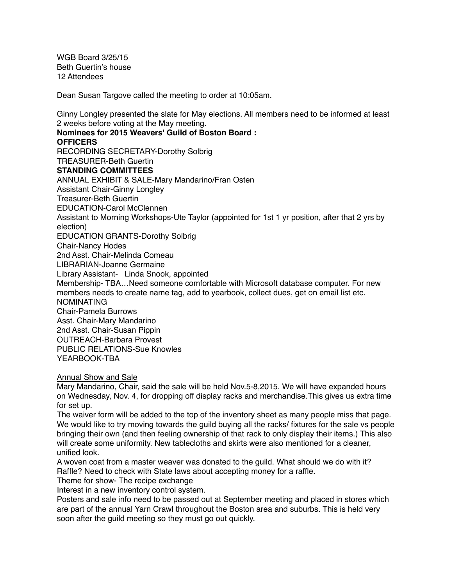WGB Board 3/25/15 Beth Guertin's house 12 Attendees

Dean Susan Targove called the meeting to order at 10:05am.

Ginny Longley presented the slate for May elections. All members need to be informed at least 2 weeks before voting at the May meeting.

**Nominees for 2015 Weavers' Guild of Boston Board : OFFICERS** RECORDING SECRETARY-Dorothy Solbrig TREASURER-Beth Guertin **STANDING COMMITTEES** ANNUAL EXHIBIT & SALE-Mary Mandarino/Fran Osten Assistant Chair-Ginny Longley Treasurer-Beth Guertin EDUCATION-Carol McClennen Assistant to Morning Workshops-Ute Taylor (appointed for 1st 1 yr position, after that 2 yrs by election) EDUCATION GRANTS-Dorothy Solbrig Chair-Nancy Hodes 2nd Asst. Chair-Melinda Comeau LIBRARIAN-Joanne Germaine Library Assistant- Linda Snook, appointed Membership- TBA…Need someone comfortable with Microsoft database computer. For new members needs to create name tag, add to yearbook, collect dues, get on email list etc. NOMINATING Chair-Pamela Burrows Asst. Chair-Mary Mandarino 2nd Asst. Chair-Susan Pippin OUTREACH-Barbara Provest PUBLIC RELATIONS-Sue Knowles YEARBOOK-TBA

Annual Show and Sale

Mary Mandarino, Chair, said the sale will be held Nov.5-8,2015. We will have expanded hours on Wednesday, Nov. 4, for dropping off display racks and merchandise.This gives us extra time for set up.

The waiver form will be added to the top of the inventory sheet as many people miss that page. We would like to try moving towards the guild buying all the racks/ fixtures for the sale vs people bringing their own (and then feeling ownership of that rack to only display their items.) This also will create some uniformity. New tablecloths and skirts were also mentioned for a cleaner, unified look.

A woven coat from a master weaver was donated to the guild. What should we do with it? Raffle? Need to check with State laws about accepting money for a raffle.

Theme for show- The recipe exchange

Interest in a new inventory control system.

Posters and sale info need to be passed out at September meeting and placed in stores which are part of the annual Yarn Crawl throughout the Boston area and suburbs. This is held very soon after the guild meeting so they must go out quickly.